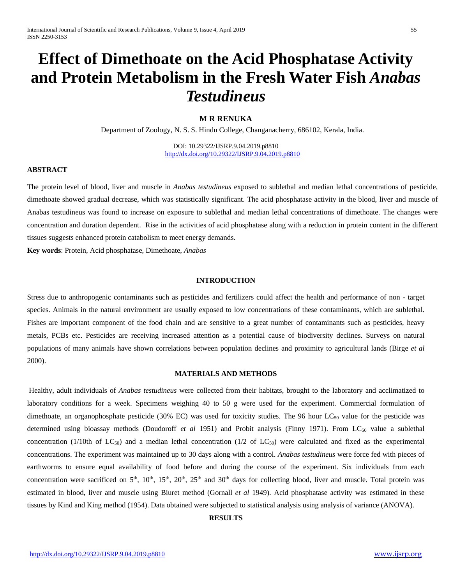# **Effect of Dimethoate on the Acid Phosphatase Activity and Protein Metabolism in the Fresh Water Fish** *Anabas Testudineus*

## **M R RENUKA**

Department of Zoology, N. S. S. Hindu College, Changanacherry, 686102, Kerala, India.

DOI: 10.29322/IJSRP.9.04.2019.p8810 <http://dx.doi.org/10.29322/IJSRP.9.04.2019.p8810>

### **ABSTRACT**

The protein level of blood, liver and muscle in *Anabas testudineus* exposed to sublethal and median lethal concentrations of pesticide, dimethoate showed gradual decrease, which was statistically significant. The acid phosphatase activity in the blood, liver and muscle of Anabas testudineus was found to increase on exposure to sublethal and median lethal concentrations of dimethoate. The changes were concentration and duration dependent. Rise in the activities of acid phosphatase along with a reduction in protein content in the different tissues suggests enhanced protein catabolism to meet energy demands.

**Key words**: Protein, Acid phosphatase, Dimethoate, *Anabas*

### **INTRODUCTION**

Stress due to anthropogenic contaminants such as pesticides and fertilizers could affect the health and performance of non - target species. Animals in the natural environment are usually exposed to low concentrations of these contaminants, which are sublethal. Fishes are important component of the food chain and are sensitive to a great number of contaminants such as pesticides, heavy metals, PCBs etc. Pesticides are receiving increased attention as a potential cause of biodiversity declines. Surveys on natural populations of many animals have shown correlations between population declines and proximity to agricultural lands (Birge *et al* 2000).

#### **MATERIALS AND METHODS**

Healthy, adult individuals of *Anabas testudineus* were collected from their habitats, brought to the laboratory and acclimatized to laboratory conditions for a week. Specimens weighing 40 to 50 g were used for the experiment. Commercial formulation of dimethoate, an organophosphate pesticide (30% EC) was used for toxicity studies. The 96 hour  $LC_{50}$  value for the pesticide was determined using bioassay methods (Doudoroff *et al* 1951) and Probit analysis (Finny 1971). From LC<sub>50</sub> value a sublethal concentration (1/10th of  $LC_{50}$ ) and a median lethal concentration (1/2 of  $LC_{50}$ ) were calculated and fixed as the experimental concentrations. The experiment was maintained up to 30 days along with a control. *Anabas testudineus* were force fed with pieces of earthworms to ensure equal availability of food before and during the course of the experiment. Six individuals from each concentration were sacrificed on  $5<sup>th</sup>$ ,  $10<sup>th</sup>$ ,  $15<sup>th</sup>$ ,  $20<sup>th</sup>$ ,  $25<sup>th</sup>$  and  $30<sup>th</sup>$  days for collecting blood, liver and muscle. Total protein was estimated in blood, liver and muscle using Biuret method (Gornall *et al* 1949). Acid phosphatase activity was estimated in these tissues by Kind and King method (1954). Data obtained were subjected to statistical analysis using analysis of variance (ANOVA).

#### **RESULTS**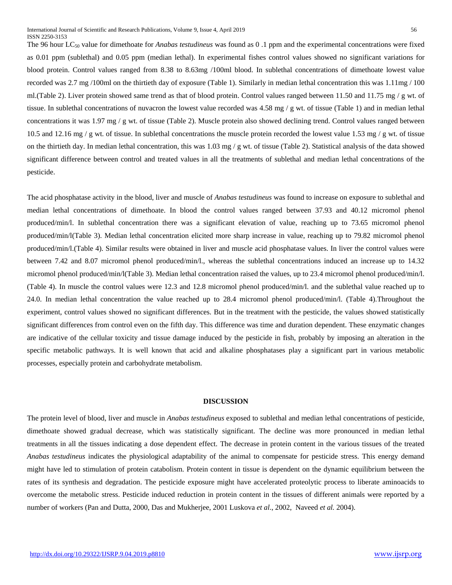The 96 hour LC50 value for dimethoate for *Anabas testudineus* was found as 0 .1 ppm and the experimental concentrations were fixed as 0.01 ppm (sublethal) and 0.05 ppm (median lethal). In experimental fishes control values showed no significant variations for blood protein. Control values ranged from 8.38 to 8.63mg /100ml blood. In sublethal concentrations of dimethoate lowest value recorded was 2.7 mg /100ml on the thirtieth day of exposure (Table 1). Similarly in median lethal concentration this was 1.11mg / 100 ml. (Table 2). Liver protein showed same trend as that of blood protein. Control values ranged between 11.50 and 11.75 mg / g wt. of tissue. In sublethal concentrations of nuvacron the lowest value recorded was 4.58 mg / g wt. of tissue (Table 1) and in median lethal concentrations it was  $1.97 \text{ mg } / \text{g wt}$ . of tissue (Table 2). Muscle protein also showed declining trend. Control values ranged between 10.5 and 12.16 mg / g wt. of tissue. In sublethal concentrations the muscle protein recorded the lowest value 1.53 mg / g wt. of tissue on the thirtieth day. In median lethal concentration, this was  $1.03 \text{ mg}/\text{g}$  wt. of tissue (Table 2). Statistical analysis of the data showed significant difference between control and treated values in all the treatments of sublethal and median lethal concentrations of the pesticide.

The acid phosphatase activity in the blood, liver and muscle of *Anabas testudineus* was found to increase on exposure to sublethal and median lethal concentrations of dimethoate. In blood the control values ranged between 37.93 and 40.12 micromol phenol produced/min/l. In sublethal concentration there was a significant elevation of value, reaching up to 73.65 micromol phenol produced/min/l(Table 3). Median lethal concentration elicited more sharp increase in value, reaching up to 79.82 micromol phenol produced/min/l.(Table 4). Similar results were obtained in liver and muscle acid phosphatase values. In liver the control values were between 7.42 and 8.07 micromol phenol produced/min/l., whereas the sublethal concentrations induced an increase up to 14.32 micromol phenol produced/min/l(Table 3). Median lethal concentration raised the values, up to 23.4 micromol phenol produced/min/l. (Table 4). In muscle the control values were 12.3 and 12.8 micromol phenol produced/min/l. and the sublethal value reached up to 24.0. In median lethal concentration the value reached up to 28.4 micromol phenol produced/min/l. (Table 4).Throughout the experiment, control values showed no significant differences. But in the treatment with the pesticide, the values showed statistically significant differences from control even on the fifth day. This difference was time and duration dependent. These enzymatic changes are indicative of the cellular toxicity and tissue damage induced by the pesticide in fish, probably by imposing an alteration in the specific metabolic pathways. It is well known that acid and alkaline phosphatases play a significant part in various metabolic processes, especially protein and carbohydrate metabolism.

#### **DISCUSSION**

The protein level of blood, liver and muscle in *Anabas testudineus* exposed to sublethal and median lethal concentrations of pesticide, dimethoate showed gradual decrease, which was statistically significant. The decline was more pronounced in median lethal treatments in all the tissues indicating a dose dependent effect. The decrease in protein content in the various tissues of the treated *Anabas testudineus* indicates the physiological adaptability of the animal to compensate for pesticide stress. This energy demand might have led to stimulation of protein catabolism. Protein content in tissue is dependent on the dynamic equilibrium between the rates of its synthesis and degradation. The pesticide exposure might have accelerated proteolytic process to liberate aminoacids to overcome the metabolic stress. Pesticide induced reduction in protein content in the tissues of different animals were reported by a number of workers (Pan and Dutta, 2000, Das and Mukherjee, 2001 Luskova *et al*., 2002, Naveed *et al.* 2004).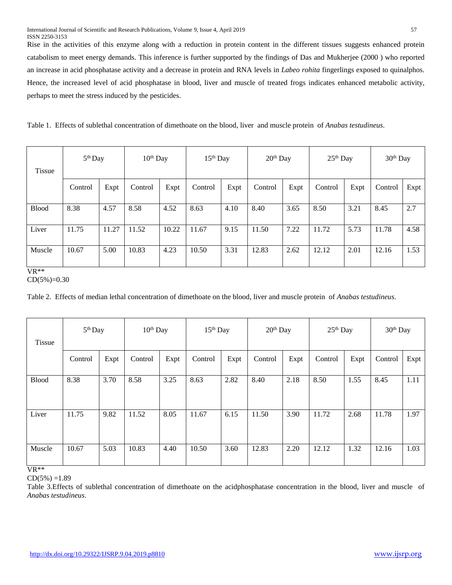Rise in the activities of this enzyme along with a reduction in protein content in the different tissues suggests enhanced protein catabolism to meet energy demands. This inference is further supported by the findings of Das and Mukherjee (2000 ) who reported an increase in acid phosphatase activity and a decrease in protein and RNA levels in *Labeo rohita* fingerlings exposed to quinalphos. Hence, the increased level of acid phosphatase in blood, liver and muscle of treated frogs indicates enhanced metabolic activity, perhaps to meet the stress induced by the pesticides.

Table 1. Effects of sublethal concentration of dimethoate on the blood, liver and muscle protein of *Anabas testudineus*.

| <b>Tissue</b> | $5th$ Day |       | $10th$ Day |       | $25th$ Day<br>$15th$ Day<br>$20th$ Day |      |         | 30 <sup>th</sup> Day |         |      |         |      |
|---------------|-----------|-------|------------|-------|----------------------------------------|------|---------|----------------------|---------|------|---------|------|
|               | Control   | Expt  | Control    | Expt  | Control                                | Expt | Control | Expt                 | Control | Expt | Control | Expt |
| <b>Blood</b>  | 8.38      | 4.57  | 8.58       | 4.52  | 8.63                                   | 4.10 | 8.40    | 3.65                 | 8.50    | 3.21 | 8.45    | 2.7  |
| Liver         | 11.75     | 11.27 | 11.52      | 10.22 | 11.67                                  | 9.15 | 11.50   | 7.22                 | 11.72   | 5.73 | 11.78   | 4.58 |
| Muscle        | 10.67     | 5.00  | 10.83      | 4.23  | 10.50                                  | 3.31 | 12.83   | 2.62                 | 12.12   | 2.01 | 12.16   | 1.53 |

VR\*\*

 $CD(5\%)=0.30$ 

Table 2. Effects of median lethal concentration of dimethoate on the blood, liver and muscle protein of *Anabas testudineus*.

| <b>Tissue</b> | 5 <sup>th</sup> Day |      | $10th$ Day |      | $15th$ Day |      | $20th$ Day |      | $25th$ Day |      | 30 <sup>th</sup> Day |      |
|---------------|---------------------|------|------------|------|------------|------|------------|------|------------|------|----------------------|------|
|               | Control             | Expt | Control    | Expt | Control    | Expt | Control    | Expt | Control    | Expt | Control              | Expt |
| <b>Blood</b>  | 8.38                | 3.70 | 8.58       | 3.25 | 8.63       | 2.82 | 8.40       | 2.18 | 8.50       | 1.55 | 8.45                 | 1.11 |
| Liver         | 11.75               | 9.82 | 11.52      | 8.05 | 11.67      | 6.15 | 11.50      | 3.90 | 11.72      | 2.68 | 11.78                | 1.97 |
| Muscle        | 10.67               | 5.03 | 10.83      | 4.40 | 10.50      | 3.60 | 12.83      | 2.20 | 12.12      | 1.32 | 12.16                | 1.03 |

VR\*\*

 $CD(5%) = 1.89$ 

Table 3.Effects of sublethal concentration of dimethoate on the acidphosphatase concentration in the blood, liver and muscle of *Anabas testudineus*.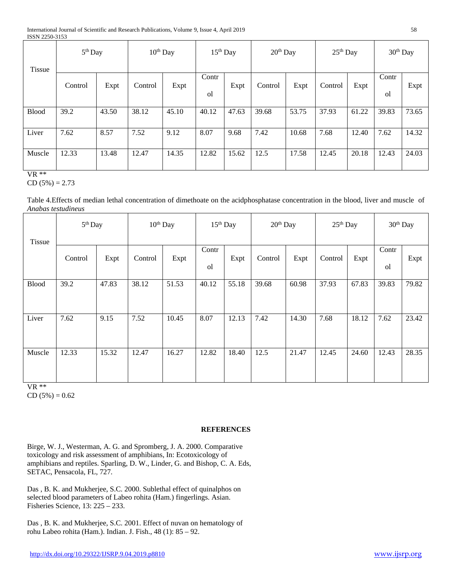| <b>Tissue</b> | $5th$ Day |       | $10^{th}$ Day |       | $15th$ Day            |       | $20th$ Day |       | $25th$ Day |       | 30 <sup>th</sup> Day   |       |
|---------------|-----------|-------|---------------|-------|-----------------------|-------|------------|-------|------------|-------|------------------------|-------|
|               | Control   | Expt  | Control       | Expt  | Contr<br><sub>o</sub> | Expt  | Control    | Expt  | Control    | Expt  | Contr<br><sub>ol</sub> | Expt  |
| <b>Blood</b>  | 39.2      | 43.50 | 38.12         | 45.10 | 40.12                 | 47.63 | 39.68      | 53.75 | 37.93      | 61.22 | 39.83                  | 73.65 |
| Liver         | 7.62      | 8.57  | 7.52          | 9.12  | 8.07                  | 9.68  | 7.42       | 10.68 | 7.68       | 12.40 | 7.62                   | 14.32 |
| Muscle        | 12.33     | 13.48 | 12.47         | 14.35 | 12.82                 | 15.62 | 12.5       | 17.58 | 12.45      | 20.18 | 12.43                  | 24.03 |

VR \*\*

CD  $(5\%) = 2.73$ 

Table 4.Effects of median lethal concentration of dimethoate on the acidphosphatase concentration in the blood, liver and muscle of *Anabas testudineus*

| <b>Tissue</b> | 5 <sup>th</sup> Day |       | 10 <sup>th</sup> Day |       | 15 <sup>th</sup> Day    |       | 20 <sup>th</sup> Day |       | $25th$ Day |       | 30 <sup>th</sup> Day    |       |
|---------------|---------------------|-------|----------------------|-------|-------------------------|-------|----------------------|-------|------------|-------|-------------------------|-------|
|               | Control             | Expt  | Control              | Expt  | Contr<br><sub>o</sub> l | Expt  | Control              | Expt  | Control    | Expt  | Contr<br><sub>o</sub> l | Expt  |
| <b>Blood</b>  | 39.2                | 47.83 | 38.12                | 51.53 | 40.12                   | 55.18 | 39.68                | 60.98 | 37.93      | 67.83 | 39.83                   | 79.82 |
| Liver         | 7.62                | 9.15  | 7.52                 | 10.45 | 8.07                    | 12.13 | 7.42                 | 14.30 | 7.68       | 18.12 | 7.62                    | 23.42 |
| Muscle        | 12.33               | 15.32 | 12.47                | 16.27 | 12.82                   | 18.40 | 12.5                 | 21.47 | 12.45      | 24.60 | 12.43                   | 28.35 |

VR \*\*

 $CD (5\%) = 0.62$ 

## **REFERENCES**

Birge, W. J., Westerman, A. G. and Spromberg, J. A. 2000. Comparative toxicology and risk assessment of amphibians, In: Ecotoxicology of amphibians and reptiles. Sparling, D. W., Linder, G. and Bishop, C. A. Eds, SETAC, Pensacola, FL, 727.

Das , B. K. and Mukherjee, S.C. 2000. Sublethal effect of quinalphos on selected blood parameters of Labeo rohita (Ham.) fingerlings. Asian. Fisheries Science, 13: 225 – 233.

Das , B. K. and Mukherjee, S.C. 2001. Effect of nuvan on hematology of rohu Labeo rohita (Ham.). Indian. J. Fish., 48 (1): 85 – 92.